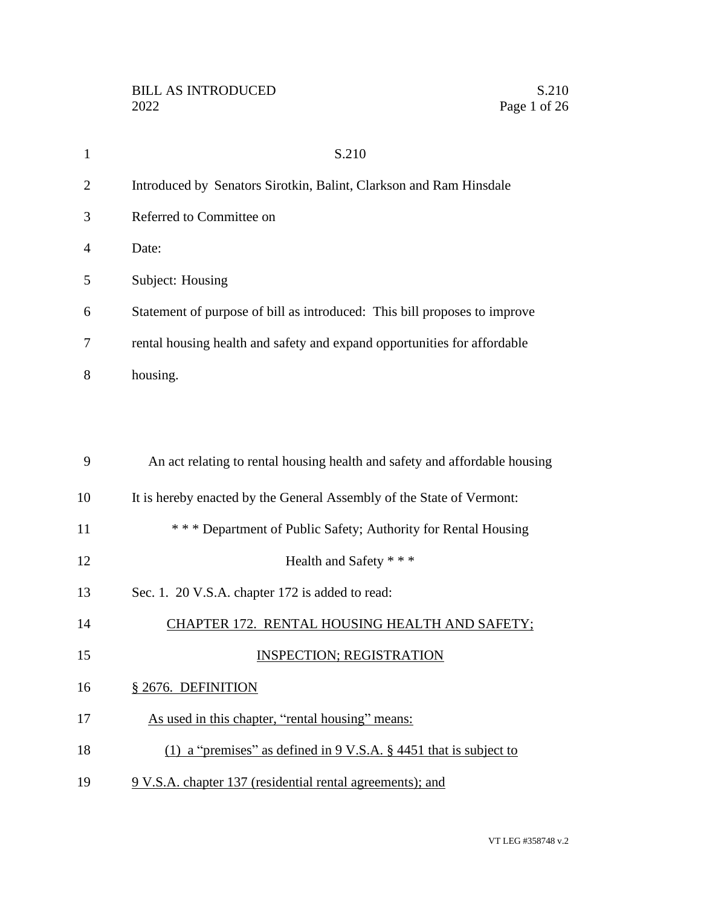| $\mathbf{1}$   | S.210                                                                        |
|----------------|------------------------------------------------------------------------------|
| $\overline{2}$ | Introduced by Senators Sirotkin, Balint, Clarkson and Ram Hinsdale           |
| 3              | Referred to Committee on                                                     |
| 4              | Date:                                                                        |
| 5              | Subject: Housing                                                             |
| 6              | Statement of purpose of bill as introduced: This bill proposes to improve    |
| 7              | rental housing health and safety and expand opportunities for affordable     |
| 8              | housing.                                                                     |
|                |                                                                              |
|                |                                                                              |
| 9              | An act relating to rental housing health and safety and affordable housing   |
| 10             | It is hereby enacted by the General Assembly of the State of Vermont:        |
| 11             | *** Department of Public Safety; Authority for Rental Housing                |
| 12             | Health and Safety * * *                                                      |
| 13             | Sec. 1. 20 V.S.A. chapter 172 is added to read:                              |
| 14             | CHAPTER 172. RENTAL HOUSING HEALTH AND SAFETY;                               |
| 15             | <b>INSPECTION; REGISTRATION</b>                                              |
| 16             | § 2676. DEFINITION                                                           |
| 17             | As used in this chapter, "rental housing" means:                             |
| 18             | (1) a "premises" as defined in $9 \text{ V.S.A. }$ \$4451 that is subject to |
| 19             | 9 V.S.A. chapter 137 (residential rental agreements); and                    |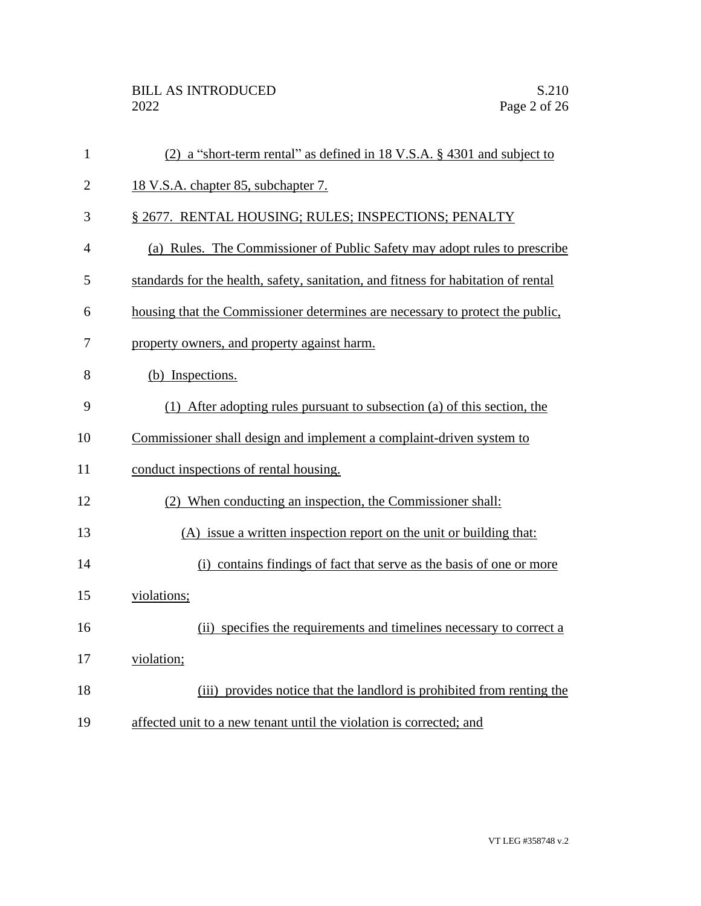| $\mathbf{1}$   | (2) a "short-term rental" as defined in 18 V.S.A. $\S$ 4301 and subject to         |
|----------------|------------------------------------------------------------------------------------|
| $\overline{2}$ | 18 V.S.A. chapter 85, subchapter 7.                                                |
| 3              | § 2677. RENTAL HOUSING; RULES; INSPECTIONS; PENALTY                                |
| $\overline{4}$ | (a) Rules. The Commissioner of Public Safety may adopt rules to prescribe          |
| 5              | standards for the health, safety, sanitation, and fitness for habitation of rental |
| 6              | housing that the Commissioner determines are necessary to protect the public,      |
| 7              | property owners, and property against harm.                                        |
| 8              | (b) Inspections.                                                                   |
| 9              | (1) After adopting rules pursuant to subsection (a) of this section, the           |
| 10             | Commissioner shall design and implement a complaint-driven system to               |
| 11             | conduct inspections of rental housing.                                             |
| 12             | (2) When conducting an inspection, the Commissioner shall:                         |
| 13             | (A) issue a written inspection report on the unit or building that:                |
| 14             | (i) contains findings of fact that serve as the basis of one or more               |
| 15             | violations;                                                                        |
| 16             | (ii) specifies the requirements and timelines necessary to correct a               |
| 17             | violation;                                                                         |
| 18             | (iii) provides notice that the landlord is prohibited from renting the             |
| 19             | affected unit to a new tenant until the violation is corrected; and                |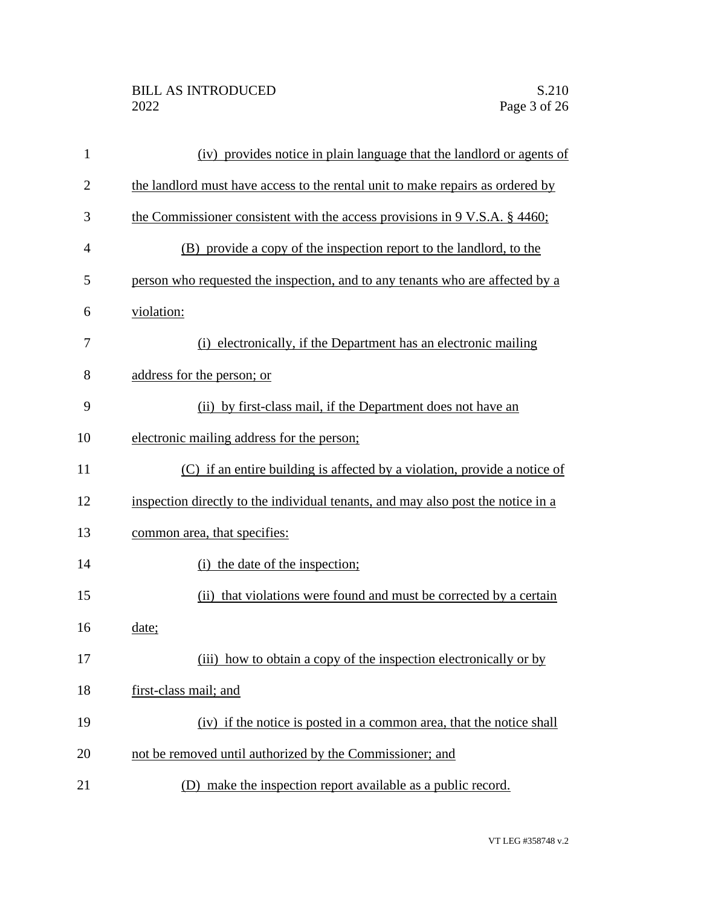| $\mathbf{1}$   | (iv) provides notice in plain language that the landlord or agents of            |
|----------------|----------------------------------------------------------------------------------|
| $\overline{2}$ | the landlord must have access to the rental unit to make repairs as ordered by   |
| 3              | the Commissioner consistent with the access provisions in 9 V.S.A. § 4460;       |
| $\overline{4}$ | (B) provide a copy of the inspection report to the landlord, to the              |
| 5              | person who requested the inspection, and to any tenants who are affected by a    |
| 6              | violation:                                                                       |
| 7              | (i) electronically, if the Department has an electronic mailing                  |
| 8              | address for the person; or                                                       |
| 9              | (ii) by first-class mail, if the Department does not have an                     |
| 10             | electronic mailing address for the person;                                       |
| 11             | (C) if an entire building is affected by a violation, provide a notice of        |
| 12             | inspection directly to the individual tenants, and may also post the notice in a |
| 13             | common area, that specifies:                                                     |
| 14             | (i) the date of the inspection;                                                  |
| 15             | (ii) that violations were found and must be corrected by a certain               |
| 16             | date;                                                                            |
| 17             | (iii) how to obtain a copy of the inspection electronically or by                |
| 18             | first-class mail; and                                                            |
| 19             | (iv) if the notice is posted in a common area, that the notice shall             |
| 20             | not be removed until authorized by the Commissioner; and                         |
| 21             | (D) make the inspection report available as a public record.                     |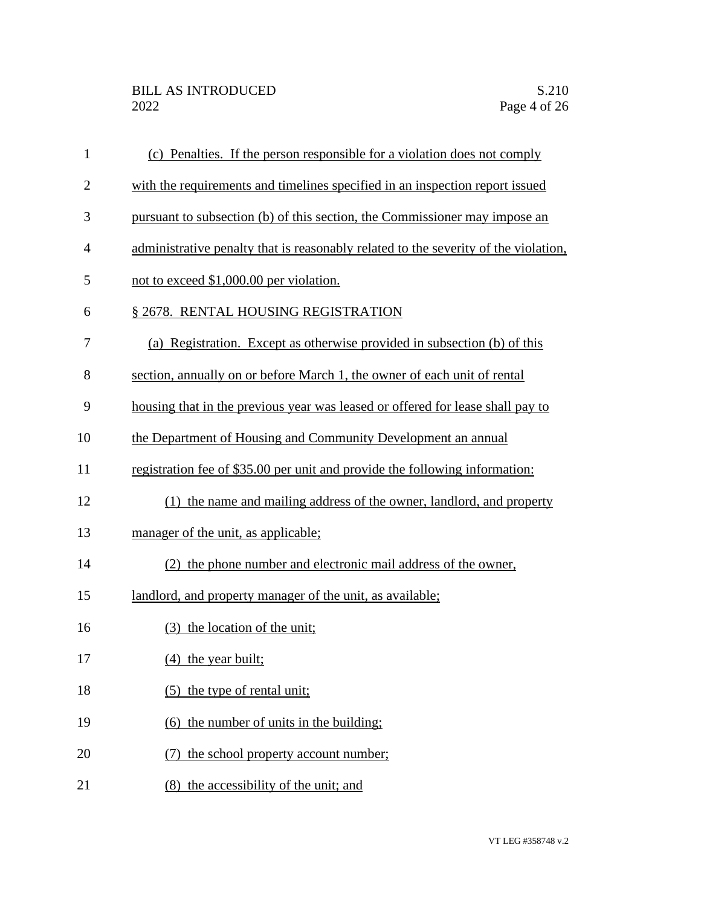| $\mathbf{1}$ | (c) Penalties. If the person responsible for a violation does not comply            |
|--------------|-------------------------------------------------------------------------------------|
| $\mathbf{2}$ | with the requirements and timelines specified in an inspection report issued        |
| 3            | pursuant to subsection (b) of this section, the Commissioner may impose an          |
| 4            | administrative penalty that is reasonably related to the severity of the violation, |
| 5            | not to exceed \$1,000.00 per violation.                                             |
| 6            | § 2678. RENTAL HOUSING REGISTRATION                                                 |
| 7            | (a) Registration. Except as otherwise provided in subsection (b) of this            |
| 8            | section, annually on or before March 1, the owner of each unit of rental            |
| 9            | housing that in the previous year was leased or offered for lease shall pay to      |
| 10           | the Department of Housing and Community Development an annual                       |
| 11           | registration fee of \$35.00 per unit and provide the following information:         |
| 12           | (1) the name and mailing address of the owner, landlord, and property               |
| 13           | manager of the unit, as applicable;                                                 |
| 14           | (2) the phone number and electronic mail address of the owner,                      |
| 15           | landlord, and property manager of the unit, as available;                           |
| 16           | (3) the location of the unit;                                                       |
| 17           | $(4)$ the year built;                                                               |
| 18           | (5) the type of rental unit;                                                        |
| 19           | (6) the number of units in the building:                                            |
| 20           | the school property account number;                                                 |
| 21           | (8) the accessibility of the unit; and                                              |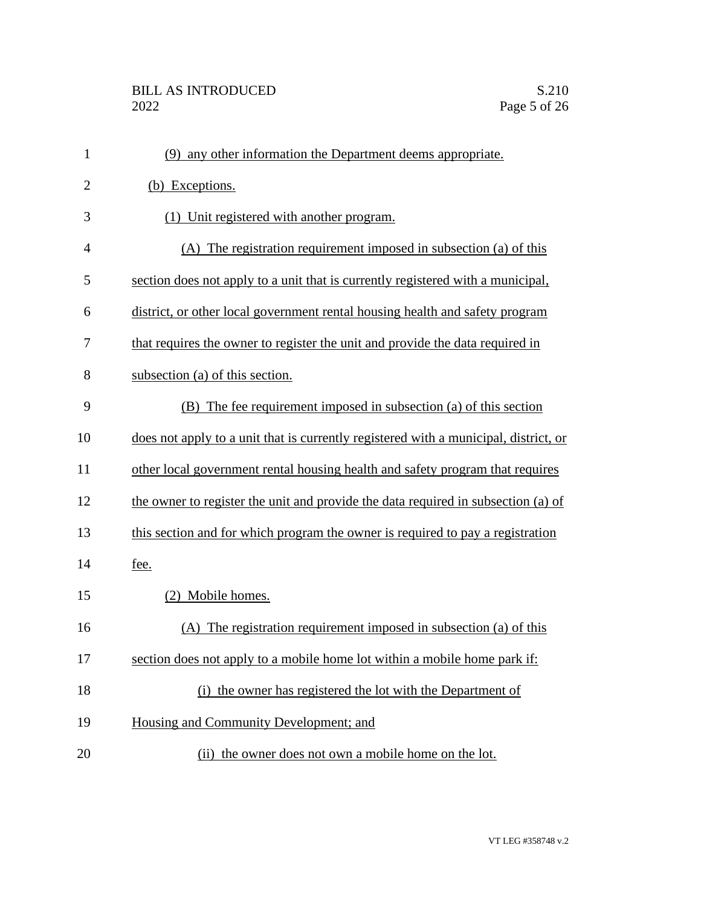| $\mathbf{1}$   | (9) any other information the Department deems appropriate.                          |
|----------------|--------------------------------------------------------------------------------------|
| $\overline{2}$ | (b) Exceptions.                                                                      |
| 3              | (1) Unit registered with another program.                                            |
| $\overline{4}$ | (A) The registration requirement imposed in subsection (a) of this                   |
| 5              | section does not apply to a unit that is currently registered with a municipal,      |
| 6              | district, or other local government rental housing health and safety program         |
| 7              | that requires the owner to register the unit and provide the data required in        |
| 8              | subsection (a) of this section.                                                      |
| 9              | (B) The fee requirement imposed in subsection (a) of this section                    |
| 10             | does not apply to a unit that is currently registered with a municipal, district, or |
| 11             | other local government rental housing health and safety program that requires        |
| 12             | the owner to register the unit and provide the data required in subsection (a) of    |
| 13             | this section and for which program the owner is required to pay a registration       |
| 14             | fee.                                                                                 |
| 15             | (2) Mobile homes.                                                                    |
| 16             | (A) The registration requirement imposed in subsection (a) of this                   |
| 17             | section does not apply to a mobile home lot within a mobile home park if:            |
| 18             | (i) the owner has registered the lot with the Department of                          |
| 19             | Housing and Community Development; and                                               |
| 20             | (ii) the owner does not own a mobile home on the lot.                                |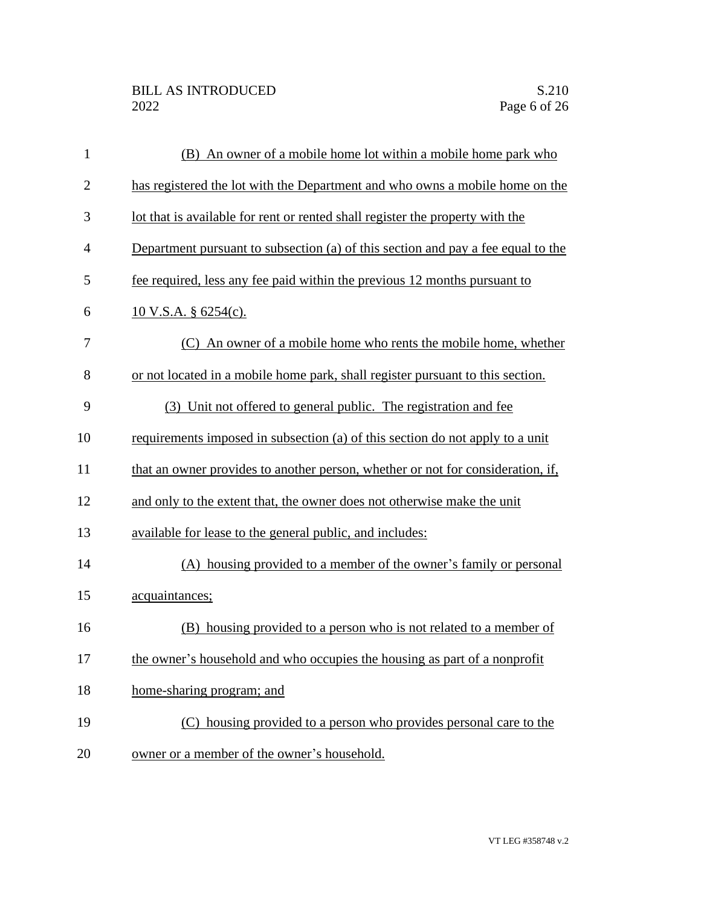| $\mathbf{1}$   | (B) An owner of a mobile home lot within a mobile home park who                  |
|----------------|----------------------------------------------------------------------------------|
| $\overline{2}$ | has registered the lot with the Department and who owns a mobile home on the     |
| 3              | lot that is available for rent or rented shall register the property with the    |
| $\overline{4}$ | Department pursuant to subsection (a) of this section and pay a fee equal to the |
| 5              | fee required, less any fee paid within the previous 12 months pursuant to        |
| 6              | $10$ V.S.A. § 6254(c).                                                           |
| 7              | (C) An owner of a mobile home who rents the mobile home, whether                 |
| 8              | or not located in a mobile home park, shall register pursuant to this section.   |
| 9              | (3) Unit not offered to general public. The registration and fee                 |
| 10             | requirements imposed in subsection (a) of this section do not apply to a unit    |
| 11             | that an owner provides to another person, whether or not for consideration, if,  |
| 12             | and only to the extent that, the owner does not otherwise make the unit          |
| 13             | available for lease to the general public, and includes:                         |
| 14             | (A) housing provided to a member of the owner's family or personal               |
| 15             | acquaintances;                                                                   |
| 16             | (B) housing provided to a person who is not related to a member of               |
| 17             | the owner's household and who occupies the housing as part of a nonprofit        |
| 18             | home-sharing program; and                                                        |
| 19             | (C) housing provided to a person who provides personal care to the               |
| 20             | owner or a member of the owner's household.                                      |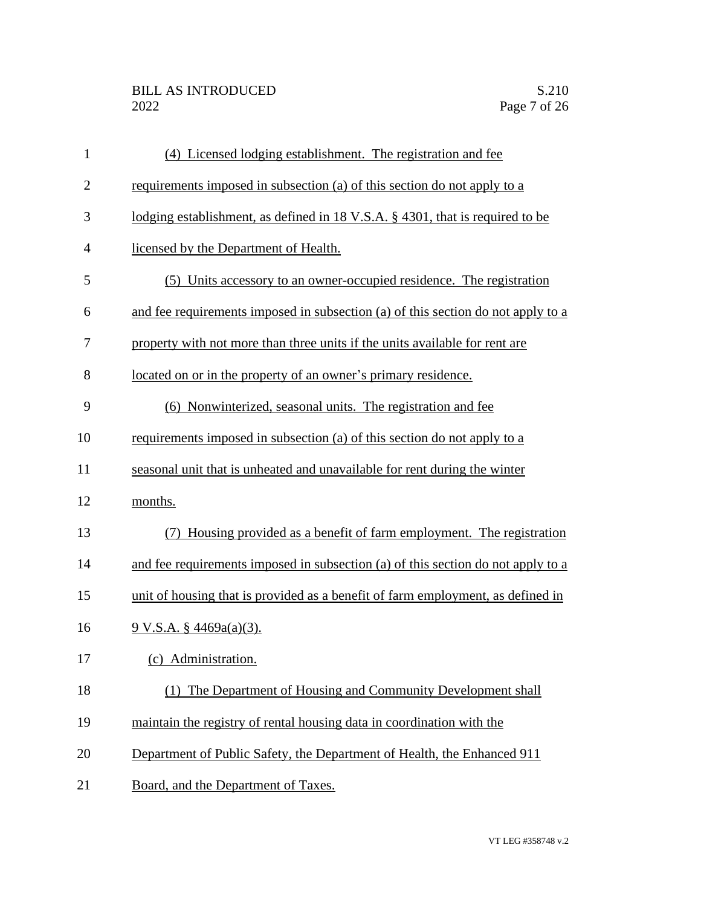| $\mathbf{1}$   | (4) Licensed lodging establishment. The registration and fee                     |
|----------------|----------------------------------------------------------------------------------|
| $\overline{2}$ | requirements imposed in subsection (a) of this section do not apply to a         |
| 3              | lodging establishment, as defined in 18 V.S.A. § 4301, that is required to be    |
| $\overline{4}$ | licensed by the Department of Health.                                            |
| 5              | (5) Units accessory to an owner-occupied residence. The registration             |
| 6              | and fee requirements imposed in subsection (a) of this section do not apply to a |
| 7              | property with not more than three units if the units available for rent are      |
| 8              | located on or in the property of an owner's primary residence.                   |
| 9              | (6) Nonwinterized, seasonal units. The registration and fee                      |
| 10             | requirements imposed in subsection (a) of this section do not apply to a         |
| 11             | seasonal unit that is unheated and unavailable for rent during the winter        |
| 12             | months.                                                                          |
| 13             | Housing provided as a benefit of farm employment. The registration<br>(7)        |
| 14             | and fee requirements imposed in subsection (a) of this section do not apply to a |
| 15             | unit of housing that is provided as a benefit of farm employment, as defined in  |
| 16             | $9 \text{ V.S.A. }$ \$ 4469a(a)(3).                                              |
| 17             | (c) Administration.                                                              |
| 18             | (1) The Department of Housing and Community Development shall                    |
| 19             | maintain the registry of rental housing data in coordination with the            |
| 20             | Department of Public Safety, the Department of Health, the Enhanced 911          |
| 21             | Board, and the Department of Taxes.                                              |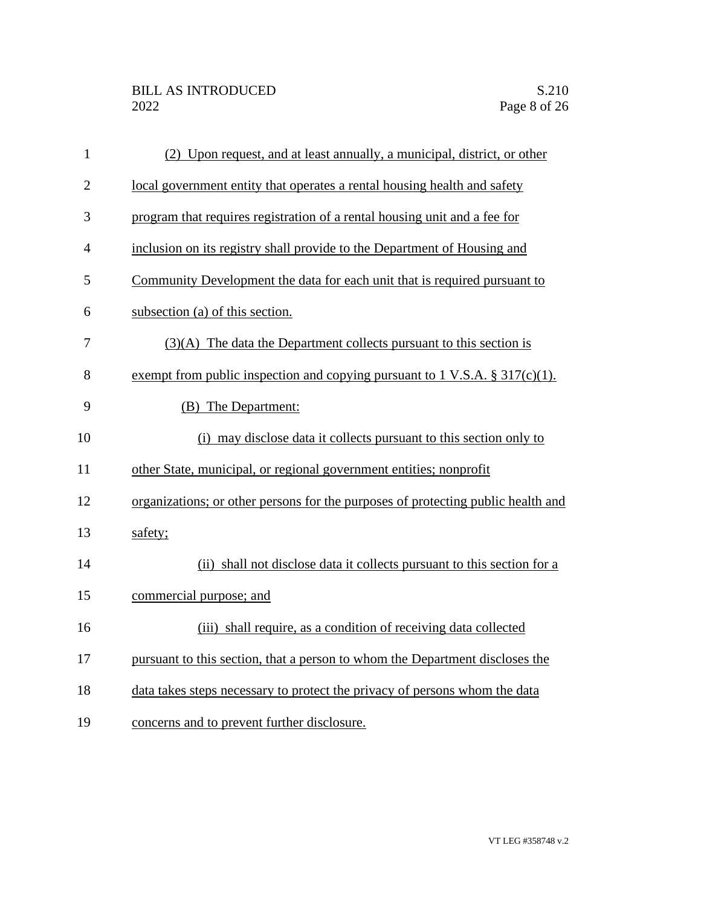| $\mathbf{1}$   | (2) Upon request, and at least annually, a municipal, district, or other         |
|----------------|----------------------------------------------------------------------------------|
| $\overline{2}$ | local government entity that operates a rental housing health and safety         |
| 3              | program that requires registration of a rental housing unit and a fee for        |
| 4              | inclusion on its registry shall provide to the Department of Housing and         |
| 5              | Community Development the data for each unit that is required pursuant to        |
| 6              | subsection (a) of this section.                                                  |
| 7              | $(3)(A)$ The data the Department collects pursuant to this section is            |
| 8              | exempt from public inspection and copying pursuant to 1 V.S.A. $\S 317(c)(1)$ .  |
| 9              | (B) The Department:                                                              |
| 10             | (i) may disclose data it collects pursuant to this section only to               |
| 11             | other State, municipal, or regional government entities; nonprofit               |
| 12             | organizations; or other persons for the purposes of protecting public health and |
| 13             | safety;                                                                          |
| 14             | (ii) shall not disclose data it collects pursuant to this section for a          |
| 15             | commercial purpose; and                                                          |
| 16             | (iii) shall require, as a condition of receiving data collected                  |
| 17             | pursuant to this section, that a person to whom the Department discloses the     |
| 18             | data takes steps necessary to protect the privacy of persons whom the data       |
| 19             | concerns and to prevent further disclosure.                                      |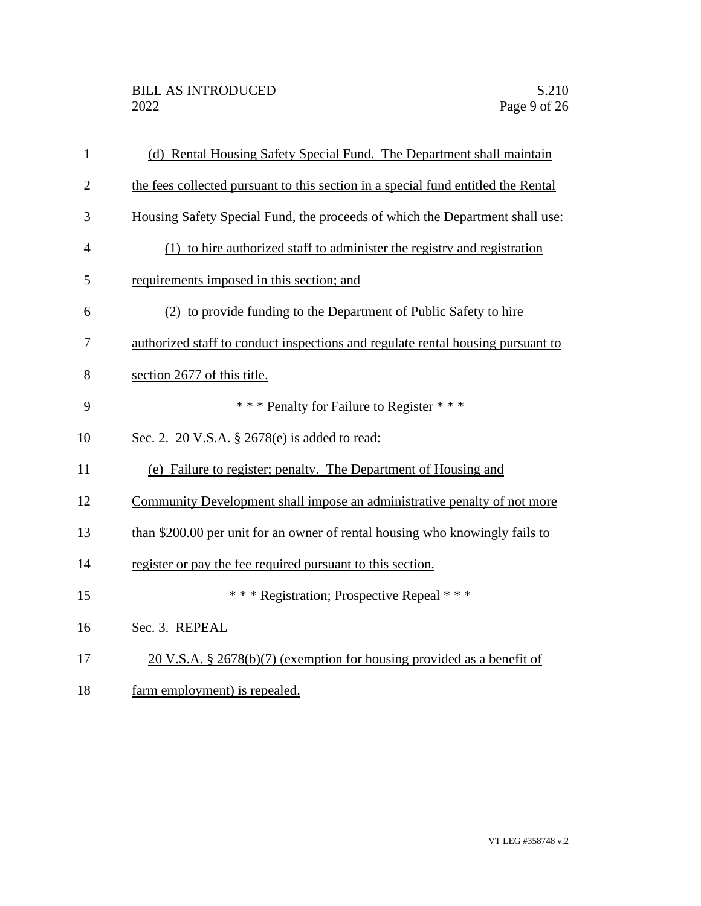| $\mathbf{1}$   | (d) Rental Housing Safety Special Fund. The Department shall maintain              |
|----------------|------------------------------------------------------------------------------------|
| $\overline{2}$ | the fees collected pursuant to this section in a special fund entitled the Rental  |
| 3              | Housing Safety Special Fund, the proceeds of which the Department shall use:       |
| 4              | (1) to hire authorized staff to administer the registry and registration           |
| 5              | requirements imposed in this section; and                                          |
| 6              | (2) to provide funding to the Department of Public Safety to hire                  |
| 7              | authorized staff to conduct inspections and regulate rental housing pursuant to    |
| 8              | section 2677 of this title.                                                        |
| 9              | *** Penalty for Failure to Register ***                                            |
| 10             | Sec. 2. 20 V.S.A. § 2678(e) is added to read:                                      |
| 11             | (e) Failure to register; penalty. The Department of Housing and                    |
| 12             | Community Development shall impose an administrative penalty of not more           |
| 13             | than \$200.00 per unit for an owner of rental housing who knowingly fails to       |
| 14             | register or pay the fee required pursuant to this section.                         |
| 15             | *** Registration; Prospective Repeal ***                                           |
| 16             | Sec. 3. REPEAL                                                                     |
| 17             | $20 \text{ V.S.A. }$ \$ 2678(b)(7) (exemption for housing provided as a benefit of |
| 18             | farm employment) is repealed.                                                      |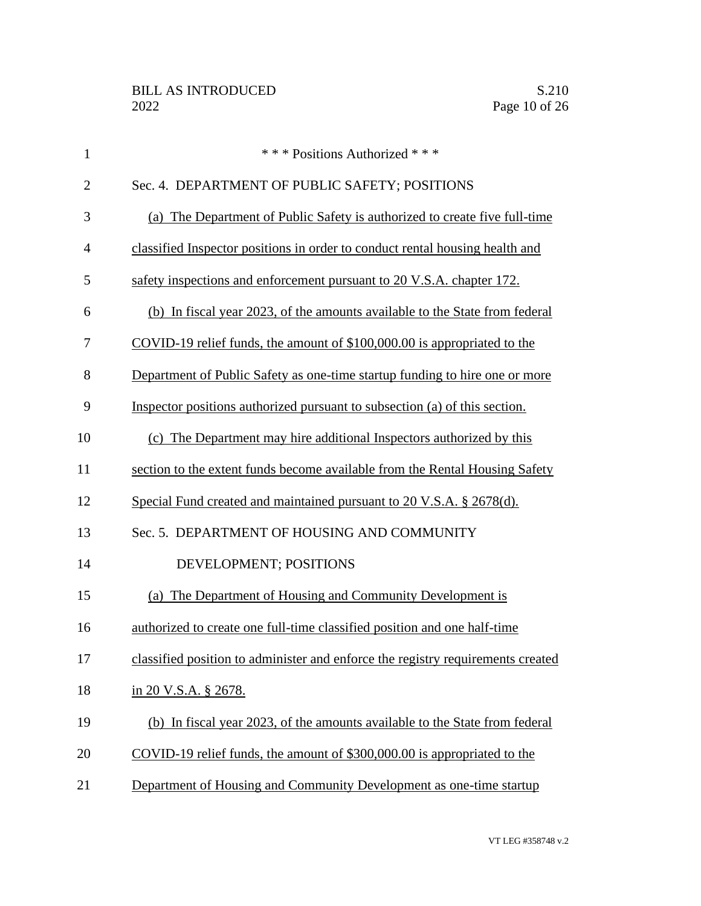| $\mathbf{1}$   | *** Positions Authorized ***                                                    |
|----------------|---------------------------------------------------------------------------------|
| $\overline{2}$ | Sec. 4. DEPARTMENT OF PUBLIC SAFETY; POSITIONS                                  |
| 3              | (a) The Department of Public Safety is authorized to create five full-time      |
| 4              | classified Inspector positions in order to conduct rental housing health and    |
| 5              | safety inspections and enforcement pursuant to 20 V.S.A. chapter 172.           |
| 6              | (b) In fiscal year 2023, of the amounts available to the State from federal     |
| 7              | COVID-19 relief funds, the amount of \$100,000.00 is appropriated to the        |
| 8              | Department of Public Safety as one-time startup funding to hire one or more     |
| 9              | Inspector positions authorized pursuant to subsection (a) of this section.      |
| 10             | (c) The Department may hire additional Inspectors authorized by this            |
| 11             | section to the extent funds become available from the Rental Housing Safety     |
| 12             | Special Fund created and maintained pursuant to 20 V.S.A. § 2678(d).            |
| 13             | Sec. 5. DEPARTMENT OF HOUSING AND COMMUNITY                                     |
| 14             | DEVELOPMENT; POSITIONS                                                          |
| 15             | (a) The Department of Housing and Community Development is                      |
| 16             | authorized to create one full-time classified position and one half-time        |
| 17             | classified position to administer and enforce the registry requirements created |
| 18             | in 20 V.S.A. § 2678.                                                            |
| 19             | (b) In fiscal year 2023, of the amounts available to the State from federal     |
| 20             | COVID-19 relief funds, the amount of \$300,000.00 is appropriated to the        |
| 21             | Department of Housing and Community Development as one-time startup             |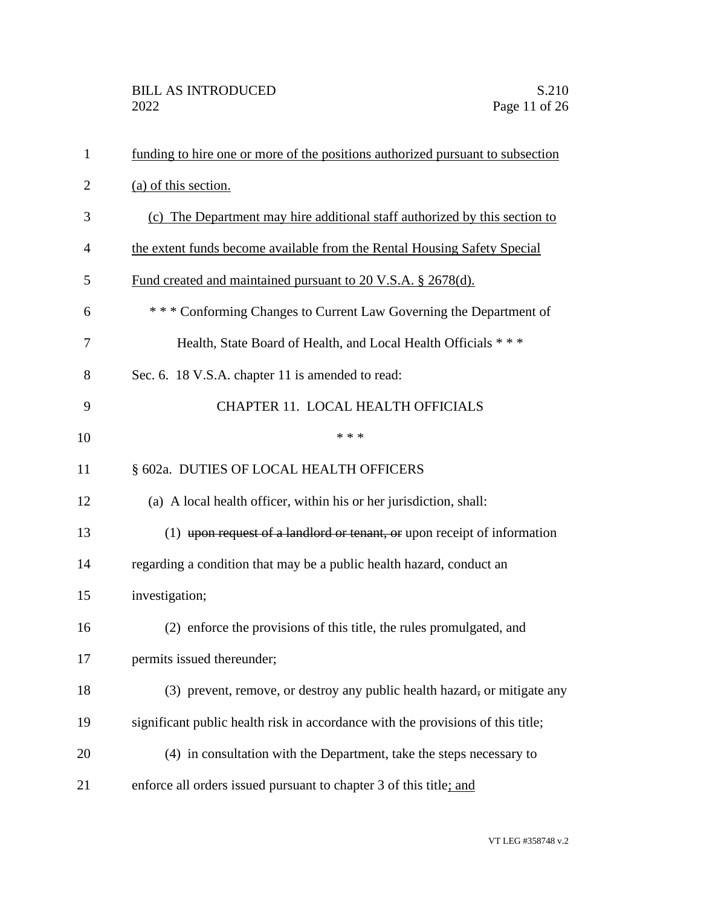| $\mathbf{1}$   | funding to hire one or more of the positions authorized pursuant to subsection  |
|----------------|---------------------------------------------------------------------------------|
| $\overline{2}$ | (a) of this section.                                                            |
| 3              | (c) The Department may hire additional staff authorized by this section to      |
| 4              | the extent funds become available from the Rental Housing Safety Special        |
| 5              | Fund created and maintained pursuant to 20 V.S.A. § 2678(d).                    |
| 6              | *** Conforming Changes to Current Law Governing the Department of               |
| 7              | Health, State Board of Health, and Local Health Officials ***                   |
| 8              | Sec. 6. 18 V.S.A. chapter 11 is amended to read:                                |
| 9              | CHAPTER 11. LOCAL HEALTH OFFICIALS                                              |
| 10             | * * *                                                                           |
| 11             | § 602a. DUTIES OF LOCAL HEALTH OFFICERS                                         |
| 12             | (a) A local health officer, within his or her jurisdiction, shall:              |
| 13             | $(1)$ upon request of a landlord or tenant, or upon receipt of information      |
| 14             | regarding a condition that may be a public health hazard, conduct an            |
| 15             | investigation;                                                                  |
| 16             | (2) enforce the provisions of this title, the rules promulgated, and            |
| 17             | permits issued thereunder;                                                      |
| 18             | (3) prevent, remove, or destroy any public health hazard, or mitigate any       |
| 19             | significant public health risk in accordance with the provisions of this title; |
| 20             | (4) in consultation with the Department, take the steps necessary to            |
| 21             | enforce all orders issued pursuant to chapter 3 of this title; and              |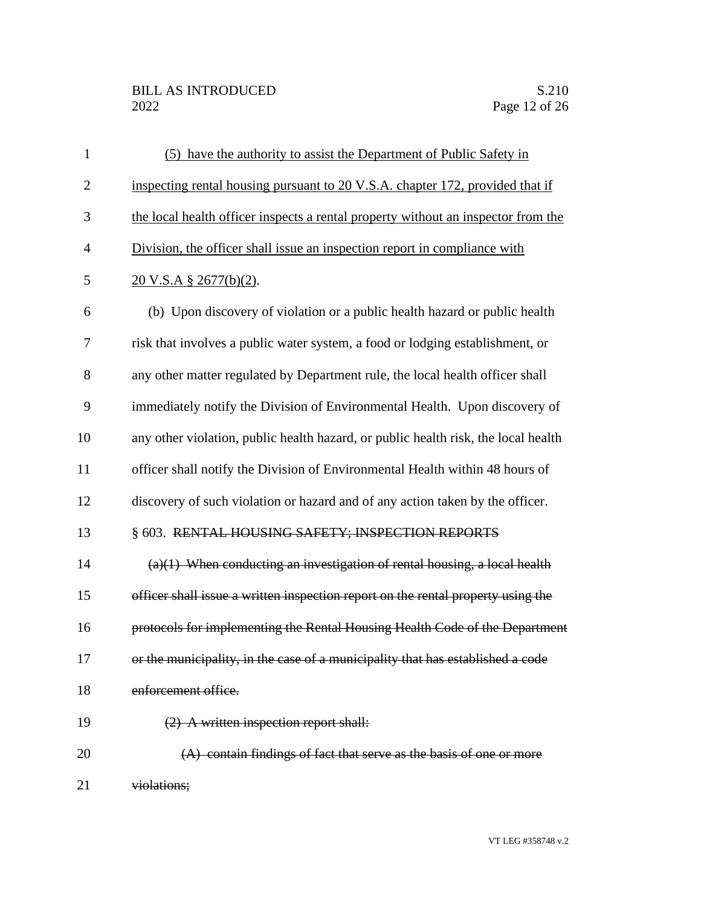## BILL AS INTRODUCED<br>2022 Page 12 of 26

| $\mathbf{1}$   | (5) have the authority to assist the Department of Public Safety in                |
|----------------|------------------------------------------------------------------------------------|
| $\overline{2}$ | inspecting rental housing pursuant to 20 V.S.A. chapter 172, provided that if      |
| 3              | the local health officer inspects a rental property without an inspector from the  |
| $\overline{4}$ | Division, the officer shall issue an inspection report in compliance with          |
| 5              | $20$ V.S.A § 2677(b)(2).                                                           |
| 6              | (b) Upon discovery of violation or a public health hazard or public health         |
| 7              | risk that involves a public water system, a food or lodging establishment, or      |
| 8              | any other matter regulated by Department rule, the local health officer shall      |
| 9              | immediately notify the Division of Environmental Health. Upon discovery of         |
| 10             | any other violation, public health hazard, or public health risk, the local health |
| 11             | officer shall notify the Division of Environmental Health within 48 hours of       |
| 12             | discovery of such violation or hazard and of any action taken by the officer.      |
| 13             | § 603. RENTAL HOUSING SAFETY; INSPECTION REPORTS                                   |
| 14             | $(a)(1)$ When conducting an investigation of rental housing, a local health        |
| 15             | officer shall issue a written inspection report on the rental property using the   |
| 16             | protocols for implementing the Rental Housing Health Code of the Department        |
| 17             | or the municipality, in the case of a municipality that has established a code     |
| 18             | enforcement office.                                                                |
| 19             | (2) A written inspection report shall:                                             |
| 20             | (A) contain findings of fact that serve as the basis of one or more                |
| 21             | violations;                                                                        |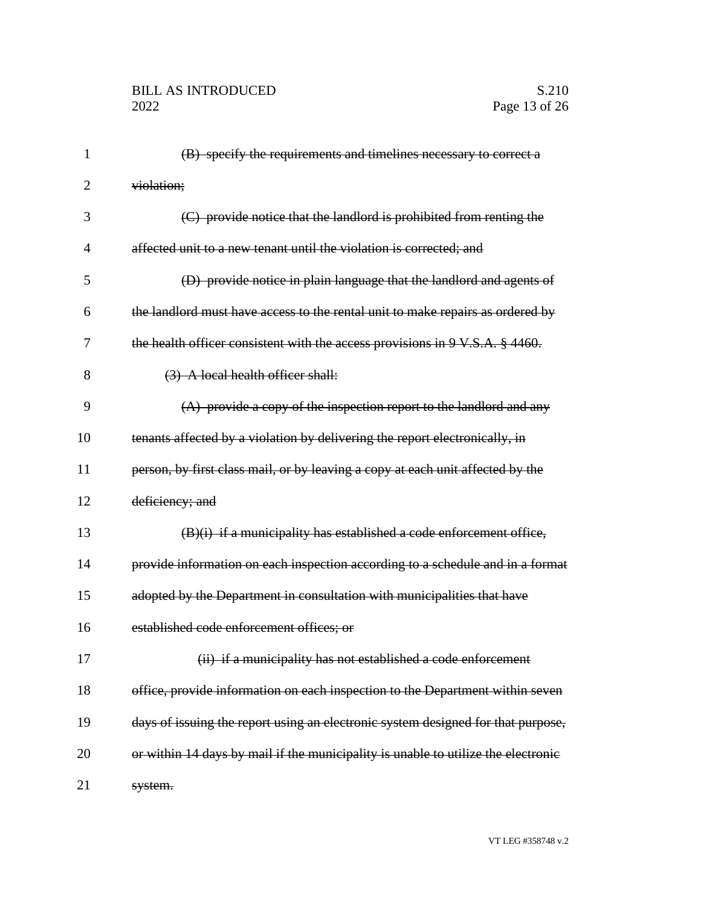| 1              | (B) specify the requirements and timelines necessary to correct a                 |
|----------------|-----------------------------------------------------------------------------------|
| $\overline{2}$ | violation;                                                                        |
| 3              | (C) provide notice that the landlord is prohibited from renting the               |
| $\overline{4}$ | affected unit to a new tenant until the violation is corrected; and               |
| 5              | (D) provide notice in plain language that the landlord and agents of              |
| 6              | the landlord must have access to the rental unit to make repairs as ordered by    |
| 7              | the health officer consistent with the access provisions in 9 V.S.A. § 4460.      |
| 8              | (3) A local health officer shall:                                                 |
| 9              | $(A)$ provide a copy of the inspection report to the landlord and any             |
| 10             | tenants affected by a violation by delivering the report electronically, in       |
| 11             | person, by first class mail, or by leaving a copy at each unit affected by the    |
| 12             | deficiency; and                                                                   |
| 13             | (B)(i) if a municipality has established a code enforcement office,               |
| 14             | provide information on each inspection according to a schedule and in a format    |
| 15             | adopted by the Department in consultation with municipalities that have           |
| 16             | established code enforcement offices; or                                          |
| 17             | (ii) if a municipality has not established a code enforcement                     |
| 18             | office, provide information on each inspection to the Department within seven     |
| 19             | days of issuing the report using an electronic system designed for that purpose,  |
| 20             | or within 14 days by mail if the municipality is unable to utilize the electronic |
| 21             | system.                                                                           |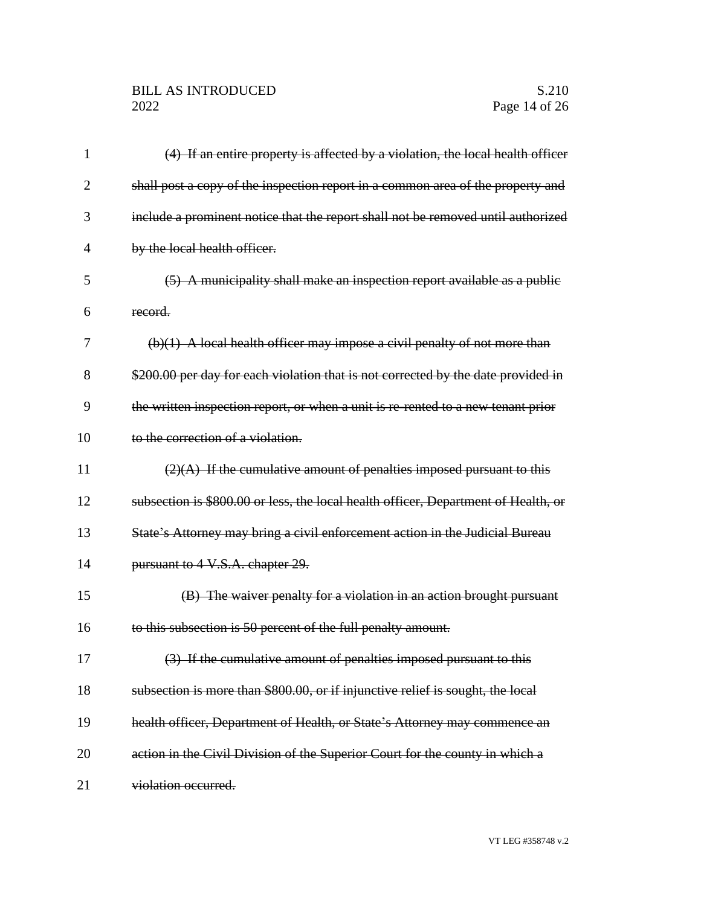| 1              | (4) If an entire property is affected by a violation, the local health officer     |
|----------------|------------------------------------------------------------------------------------|
| $\overline{2}$ | shall post a copy of the inspection report in a common area of the property and    |
| 3              | include a prominent notice that the report shall not be removed until authorized   |
| 4              | by the local health officer.                                                       |
| 5              | (5) A municipality shall make an inspection report available as a public           |
| 6              | record.                                                                            |
| 7              | $(b)(1)$ A local health officer may impose a civil penalty of not more than        |
| 8              | \$200.00 per day for each violation that is not corrected by the date provided in  |
| 9              | the written inspection report, or when a unit is re-rented to a new tenant prior   |
| 10             | to the correction of a violation.                                                  |
| 11             | $(2)(A)$ If the cumulative amount of penalties imposed pursuant to this            |
| 12             | subsection is \$800.00 or less, the local health officer, Department of Health, or |
| 13             | State's Attorney may bring a civil enforcement action in the Judicial Bureau       |
| 14             | pursuant to 4 V.S.A. chapter 29.                                                   |
| 15             | (B) The waiver penalty for a violation in an action brought pursuant               |
| 16             | to this subsection is 50 percent of the full penalty amount.                       |
| 17             | (3) If the cumulative amount of penalties imposed pursuant to this                 |
| 18             | subsection is more than \$800.00, or if injunctive relief is sought, the local     |
| 19             | health officer, Department of Health, or State's Attorney may commence an          |
| 20             | action in the Civil Division of the Superior Court for the county in which a       |
| 21             | violation occurred.                                                                |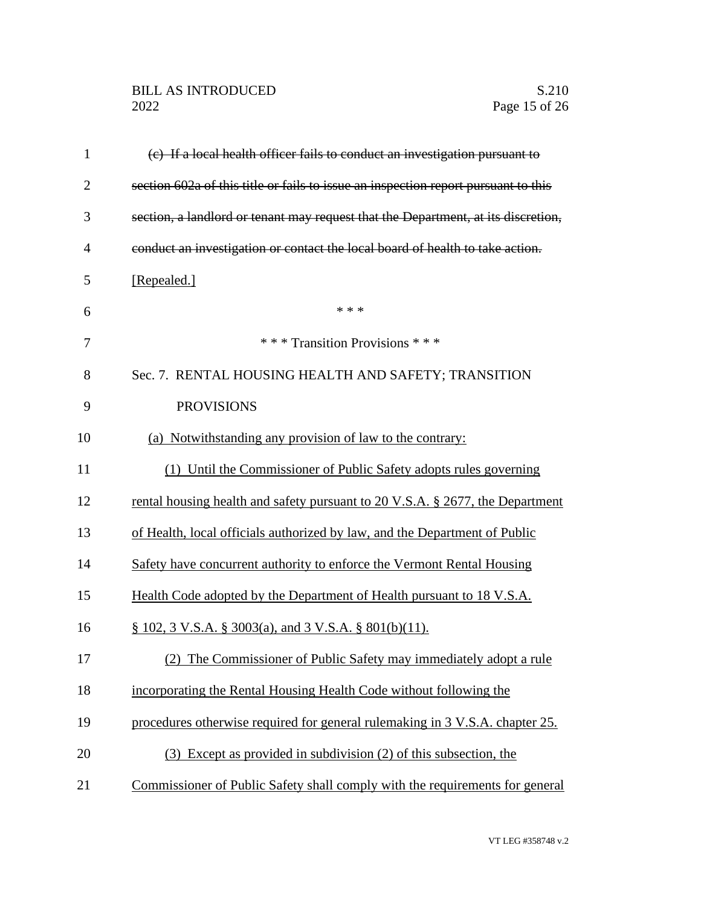## BILL AS INTRODUCED<br>2022 Page 15 of 26

| $\mathbf{1}$   | (e) If a local health officer fails to conduct an investigation pursuant to        |
|----------------|------------------------------------------------------------------------------------|
| $\overline{2}$ | section 602a of this title or fails to issue an inspection report pursuant to this |
| 3              | section, a landlord or tenant may request that the Department, at its discretion,  |
| $\overline{4}$ | conduct an investigation or contact the local board of health to take action.      |
| 5              | [Repealed.]                                                                        |
| 6              | * * *                                                                              |
| 7              | *** Transition Provisions ***                                                      |
| 8              | Sec. 7. RENTAL HOUSING HEALTH AND SAFETY; TRANSITION                               |
| 9              | <b>PROVISIONS</b>                                                                  |
| 10             | (a) Notwithstanding any provision of law to the contrary:                          |
| 11             | (1) Until the Commissioner of Public Safety adopts rules governing                 |
| 12             | rental housing health and safety pursuant to 20 V.S.A. § 2677, the Department      |
| 13             | of Health, local officials authorized by law, and the Department of Public         |
| 14             | Safety have concurrent authority to enforce the Vermont Rental Housing             |
| 15             | Health Code adopted by the Department of Health pursuant to 18 V.S.A.              |
| 16             | $\S$ 102, 3 V.S.A. $\S$ 3003(a), and 3 V.S.A. $\S$ 801(b)(11).                     |
| 17             | (2) The Commissioner of Public Safety may immediately adopt a rule                 |
| 18             | incorporating the Rental Housing Health Code without following the                 |
| 19             | procedures otherwise required for general rulemaking in 3 V.S.A. chapter 25.       |
| 20             | (3) Except as provided in subdivision (2) of this subsection, the                  |
| 21             | Commissioner of Public Safety shall comply with the requirements for general       |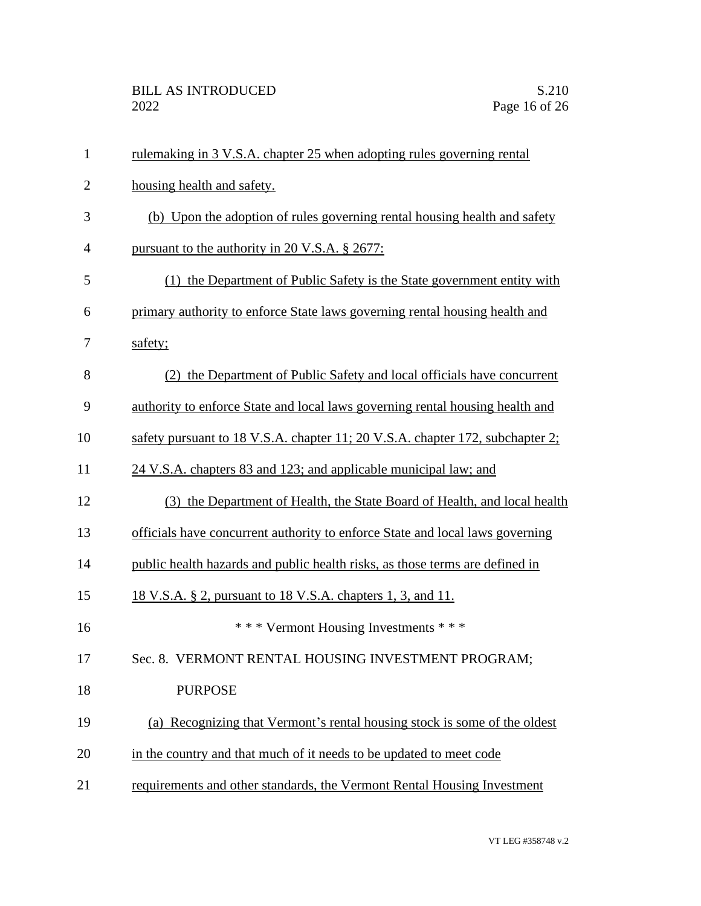| $\mathbf{1}$   | rulemaking in 3 V.S.A. chapter 25 when adopting rules governing rental        |
|----------------|-------------------------------------------------------------------------------|
| $\overline{2}$ | housing health and safety.                                                    |
| 3              | (b) Upon the adoption of rules governing rental housing health and safety     |
| $\overline{4}$ | pursuant to the authority in 20 V.S.A. § 2677:                                |
| 5              | (1) the Department of Public Safety is the State government entity with       |
| 6              | primary authority to enforce State laws governing rental housing health and   |
| 7              | safety;                                                                       |
| 8              | (2) the Department of Public Safety and local officials have concurrent       |
| 9              | authority to enforce State and local laws governing rental housing health and |
| 10             | safety pursuant to 18 V.S.A. chapter 11; 20 V.S.A. chapter 172, subchapter 2; |
| 11             | 24 V.S.A. chapters 83 and 123; and applicable municipal law; and              |
| 12             | (3) the Department of Health, the State Board of Health, and local health     |
| 13             | officials have concurrent authority to enforce State and local laws governing |
| 14             | public health hazards and public health risks, as those terms are defined in  |
| 15             | 18 V.S.A. § 2, pursuant to 18 V.S.A. chapters 1, 3, and 11.                   |
| 16             | *** Vermont Housing Investments ***                                           |
| 17             | Sec. 8. VERMONT RENTAL HOUSING INVESTMENT PROGRAM;                            |
| 18             | <b>PURPOSE</b>                                                                |
| 19             | (a) Recognizing that Vermont's rental housing stock is some of the oldest     |
| 20             | in the country and that much of it needs to be updated to meet code           |
| 21             | requirements and other standards, the Vermont Rental Housing Investment       |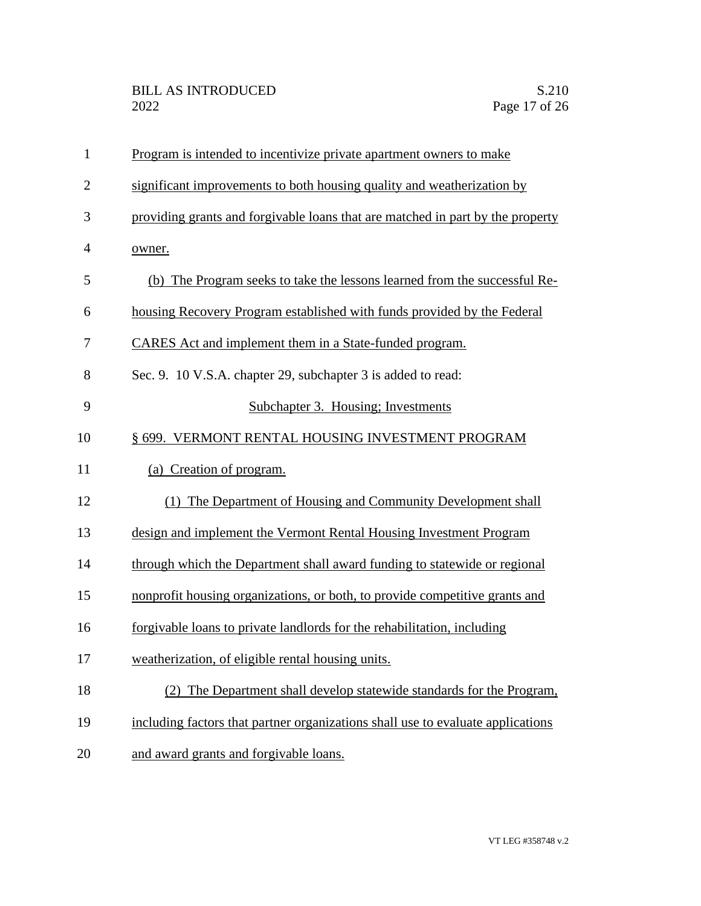| $\mathbf{1}$   | Program is intended to incentivize private apartment owners to make             |
|----------------|---------------------------------------------------------------------------------|
| $\overline{2}$ | significant improvements to both housing quality and weatherization by          |
| 3              | providing grants and forgivable loans that are matched in part by the property  |
| $\overline{4}$ | owner.                                                                          |
| 5              | (b) The Program seeks to take the lessons learned from the successful Re-       |
| 6              | housing Recovery Program established with funds provided by the Federal         |
| 7              | CARES Act and implement them in a State-funded program.                         |
| 8              | Sec. 9. 10 V.S.A. chapter 29, subchapter 3 is added to read:                    |
| 9              | Subchapter 3. Housing; Investments                                              |
| 10             | § 699. VERMONT RENTAL HOUSING INVESTMENT PROGRAM                                |
| 11             | (a) Creation of program.                                                        |
| 12             | (1) The Department of Housing and Community Development shall                   |
| 13             | design and implement the Vermont Rental Housing Investment Program              |
| 14             | through which the Department shall award funding to statewide or regional       |
| 15             | nonprofit housing organizations, or both, to provide competitive grants and     |
| 16             | forgivable loans to private landlords for the rehabilitation, including         |
| 17             | weatherization, of eligible rental housing units.                               |
| 18             | The Department shall develop statewide standards for the Program,<br>(2)        |
| 19             | including factors that partner organizations shall use to evaluate applications |
| 20             | and award grants and forgivable loans.                                          |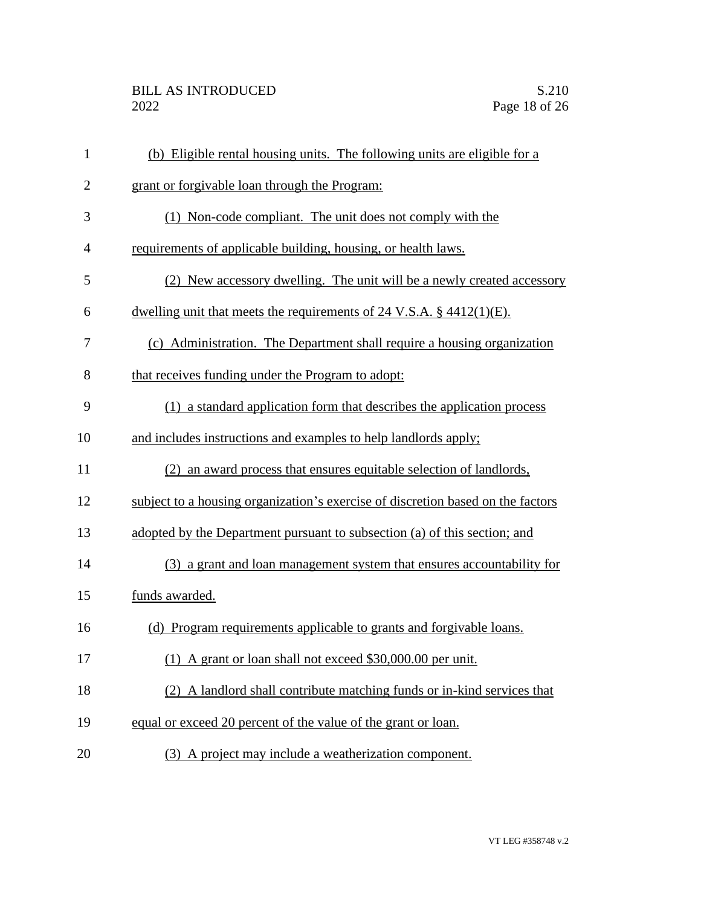| $\mathbf{1}$   | (b) Eligible rental housing units. The following units are eligible for a       |
|----------------|---------------------------------------------------------------------------------|
| $\overline{2}$ | grant or forgivable loan through the Program:                                   |
| 3              | (1) Non-code compliant. The unit does not comply with the                       |
| $\overline{4}$ | requirements of applicable building, housing, or health laws.                   |
| 5              | (2) New accessory dwelling. The unit will be a newly created accessory          |
| 6              | dwelling unit that meets the requirements of $24$ V.S.A. $\S$ 4412(1)(E).       |
| 7              | (c) Administration. The Department shall require a housing organization         |
| 8              | that receives funding under the Program to adopt:                               |
| 9              | (1) a standard application form that describes the application process          |
| 10             | and includes instructions and examples to help landlords apply;                 |
| 11             | (2) an award process that ensures equitable selection of landlords,             |
| 12             | subject to a housing organization's exercise of discretion based on the factors |
| 13             | adopted by the Department pursuant to subsection (a) of this section; and       |
| 14             | (3) a grant and loan management system that ensures accountability for          |
| 15             | funds awarded.                                                                  |
| 16             | (d) Program requirements applicable to grants and forgivable loans.             |
| 17             | (1) A grant or loan shall not exceed \$30,000.00 per unit.                      |
| 18             | (2) A landlord shall contribute matching funds or in-kind services that         |
| 19             | equal or exceed 20 percent of the value of the grant or loan.                   |
| 20             | (3) A project may include a weatherization component.                           |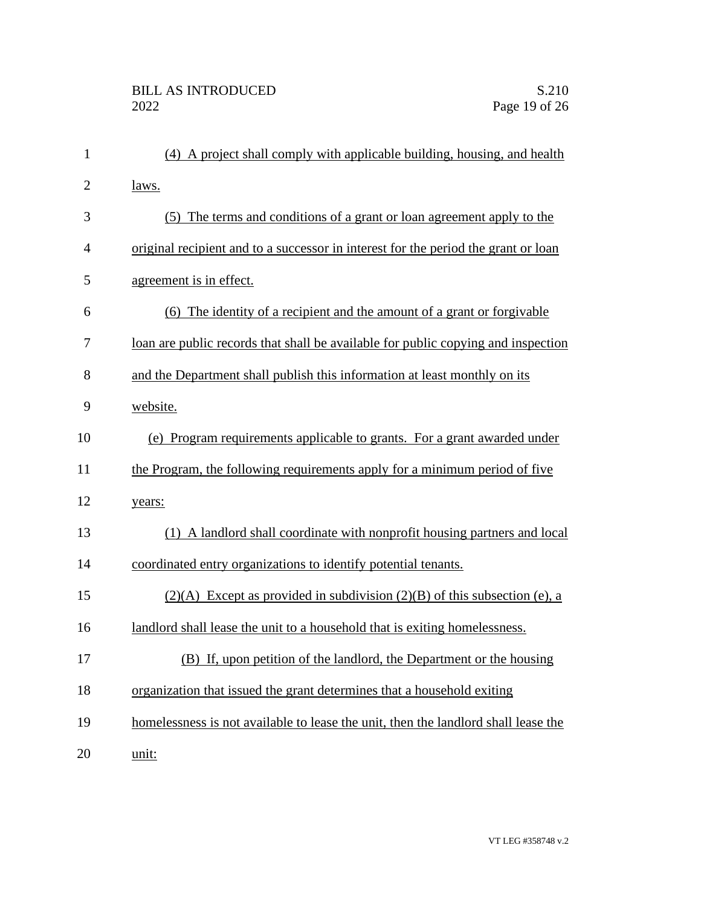| $\mathbf{1}$   | (4) A project shall comply with applicable building, housing, and health           |
|----------------|------------------------------------------------------------------------------------|
| $\overline{2}$ | laws.                                                                              |
| 3              | (5) The terms and conditions of a grant or loan agreement apply to the             |
| $\overline{4}$ | original recipient and to a successor in interest for the period the grant or loan |
| 5              | agreement is in effect.                                                            |
| 6              | (6) The identity of a recipient and the amount of a grant or forgivable            |
| 7              | loan are public records that shall be available for public copying and inspection  |
| 8              | and the Department shall publish this information at least monthly on its          |
| 9              | website.                                                                           |
| 10             | (e) Program requirements applicable to grants. For a grant awarded under           |
| 11             | the Program, the following requirements apply for a minimum period of five         |
| 12             | years:                                                                             |
| 13             | (1) A landlord shall coordinate with nonprofit housing partners and local          |
| 14             | coordinated entry organizations to identify potential tenants.                     |
| 15             | $(2)(A)$ Except as provided in subdivision $(2)(B)$ of this subsection (e), a      |
| 16             | landlord shall lease the unit to a household that is exiting homelessness.         |
| 17             | (B) If, upon petition of the landlord, the Department or the housing               |
| 18             | organization that issued the grant determines that a household exiting             |
| 19             | homelessness is not available to lease the unit, then the landlord shall lease the |
| 20             | unit:                                                                              |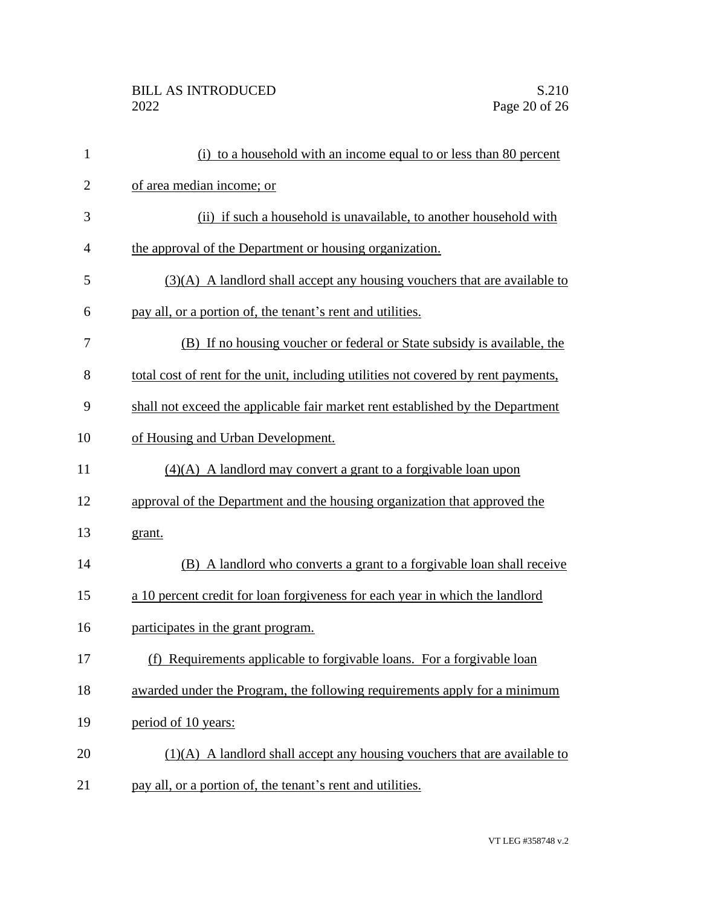| $\mathbf{1}$   | (i) to a household with an income equal to or less than 80 percent                 |
|----------------|------------------------------------------------------------------------------------|
| $\overline{2}$ | of area median income; or                                                          |
| 3              | (ii) if such a household is unavailable, to another household with                 |
| $\overline{4}$ | the approval of the Department or housing organization.                            |
| 5              | $(3)(A)$ A landlord shall accept any housing vouchers that are available to        |
| 6              | pay all, or a portion of, the tenant's rent and utilities.                         |
| 7              | (B) If no housing voucher or federal or State subsidy is available, the            |
| 8              | total cost of rent for the unit, including utilities not covered by rent payments, |
| 9              | shall not exceed the applicable fair market rent established by the Department     |
| 10             | of Housing and Urban Development.                                                  |
| 11             | $(4)(A)$ A landlord may convert a grant to a forgivable loan upon                  |
| 12             | approval of the Department and the housing organization that approved the          |
| 13             | grant.                                                                             |
| 14             | (B) A landlord who converts a grant to a forgivable loan shall receive             |
| 15             | a 10 percent credit for loan forgiveness for each year in which the landlord       |
| 16             | participates in the grant program.                                                 |
| 17             | (f) Requirements applicable to forgivable loans. For a forgivable loan             |
| 18             | awarded under the Program, the following requirements apply for a minimum          |
| 19             | period of 10 years:                                                                |
| 20             | $(1)(A)$ A landlord shall accept any housing vouchers that are available to        |
| 21             | pay all, or a portion of, the tenant's rent and utilities.                         |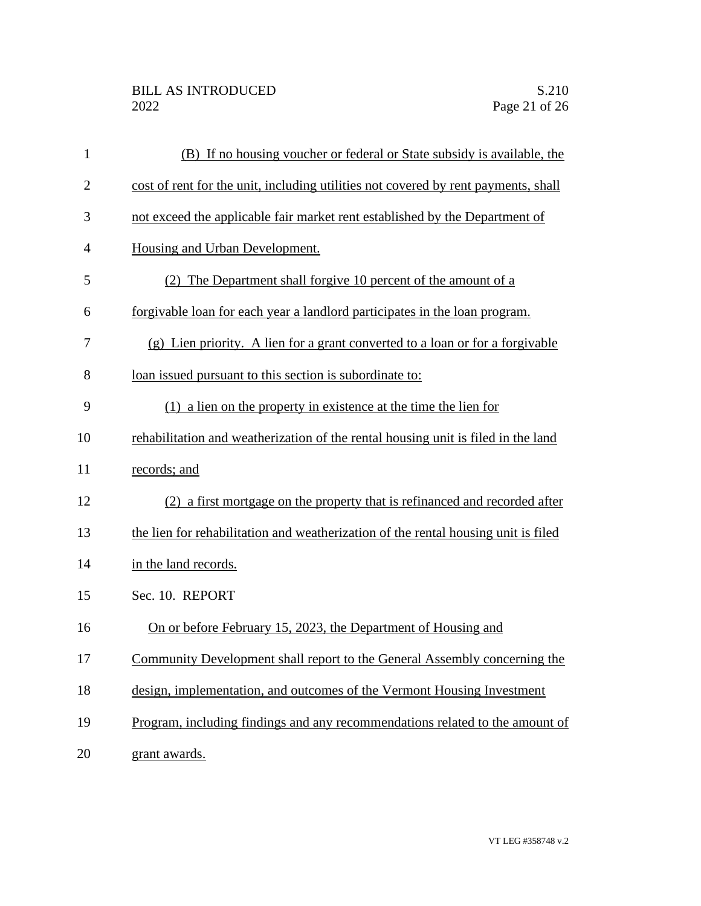| $\mathbf{1}$   | (B) If no housing voucher or federal or State subsidy is available, the            |
|----------------|------------------------------------------------------------------------------------|
| $\overline{2}$ | cost of rent for the unit, including utilities not covered by rent payments, shall |
| 3              | not exceed the applicable fair market rent established by the Department of        |
| 4              | Housing and Urban Development.                                                     |
| 5              | (2) The Department shall forgive 10 percent of the amount of a                     |
| 6              | forgivable loan for each year a landlord participates in the loan program.         |
| 7              | (g) Lien priority. A lien for a grant converted to a loan or for a forgivable      |
| 8              | loan issued pursuant to this section is subordinate to:                            |
| 9              | $(1)$ a lien on the property in existence at the time the lien for                 |
| 10             | rehabilitation and weatherization of the rental housing unit is filed in the land  |
| 11             | records; and                                                                       |
| 12             | (2) a first mortgage on the property that is refinanced and recorded after         |
| 13             | the lien for rehabilitation and weatherization of the rental housing unit is filed |
| 14             | in the land records.                                                               |
| 15             | Sec. 10. REPORT                                                                    |
| 16             | On or before February 15, 2023, the Department of Housing and                      |
| 17             | Community Development shall report to the General Assembly concerning the          |
| 18             | design, implementation, and outcomes of the Vermont Housing Investment             |
| 19             | Program, including findings and any recommendations related to the amount of       |
| 20             | grant awards.                                                                      |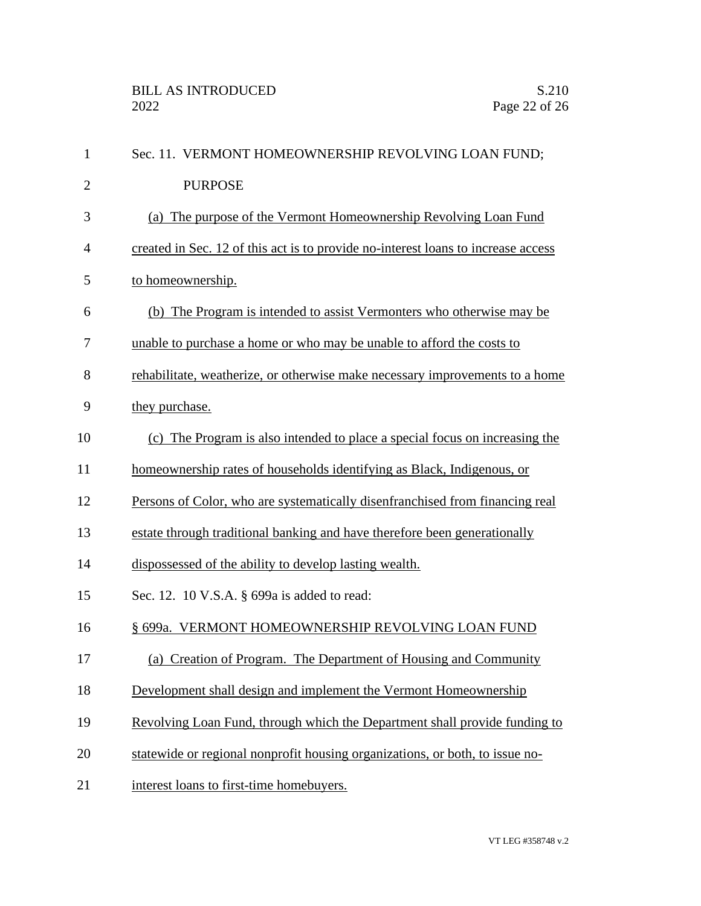| $\mathbf{1}$   | Sec. 11. VERMONT HOMEOWNERSHIP REVOLVING LOAN FUND;                               |
|----------------|-----------------------------------------------------------------------------------|
| $\overline{2}$ | <b>PURPOSE</b>                                                                    |
| 3              | (a) The purpose of the Vermont Homeownership Revolving Loan Fund                  |
| 4              | created in Sec. 12 of this act is to provide no-interest loans to increase access |
| 5              | to homeownership.                                                                 |
| 6              | (b) The Program is intended to assist Vermonters who otherwise may be             |
| 7              | unable to purchase a home or who may be unable to afford the costs to             |
| 8              | rehabilitate, weatherize, or otherwise make necessary improvements to a home      |
| 9              | they purchase.                                                                    |
| 10             | (c) The Program is also intended to place a special focus on increasing the       |
| 11             | homeownership rates of households identifying as Black, Indigenous, or            |
| 12             | Persons of Color, who are systematically disenfranchised from financing real      |
| 13             | estate through traditional banking and have therefore been generationally         |
| 14             | dispossessed of the ability to develop lasting wealth.                            |
| 15             | Sec. 12. 10 V.S.A. § 699a is added to read:                                       |
| 16             | § 699a. VERMONT HOMEOWNERSHIP REVOLVING LOAN FUND                                 |
| 17             | (a) Creation of Program. The Department of Housing and Community                  |
| 18             | Development shall design and implement the Vermont Homeownership                  |
| 19             | Revolving Loan Fund, through which the Department shall provide funding to        |
| 20             | statewide or regional nonprofit housing organizations, or both, to issue no-      |
| 21             | interest loans to first-time homebuyers.                                          |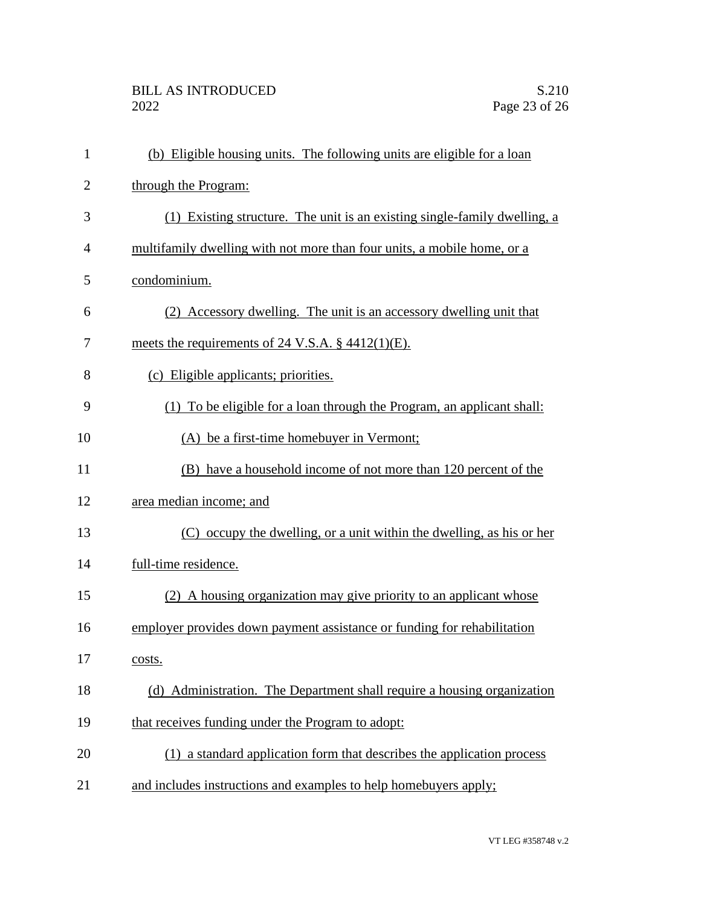| $\mathbf{1}$   | (b) Eligible housing units. The following units are eligible for a loan    |
|----------------|----------------------------------------------------------------------------|
| $\overline{2}$ | through the Program:                                                       |
| 3              | (1) Existing structure. The unit is an existing single-family dwelling, a  |
| $\overline{4}$ | multifamily dwelling with not more than four units, a mobile home, or a    |
| 5              | condominium.                                                               |
| 6              | (2) Accessory dwelling. The unit is an accessory dwelling unit that        |
| 7              | meets the requirements of 24 V.S.A. $\S$ 4412(1)(E).                       |
| 8              | (c) Eligible applicants; priorities.                                       |
| 9              | (1) To be eligible for a loan through the Program, an applicant shall:     |
| 10             | (A) be a first-time homebuyer in Vermont;                                  |
| 11             | (B) have a household income of not more than 120 percent of the            |
| 12             | area median income; and                                                    |
| 13             | (C) occupy the dwelling, or a unit within the dwelling, as his or her      |
| 14             | full-time residence.                                                       |
| 15             | (2) A housing organization may give priority to an applicant whose         |
| 16             | employer provides down payment assistance or funding for rehabilitation    |
| 17             | costs.                                                                     |
| 18             | Administration. The Department shall require a housing organization<br>(d) |
| 19             | that receives funding under the Program to adopt:                          |
| 20             | (1) a standard application form that describes the application process     |
| 21             | and includes instructions and examples to help homebuyers apply;           |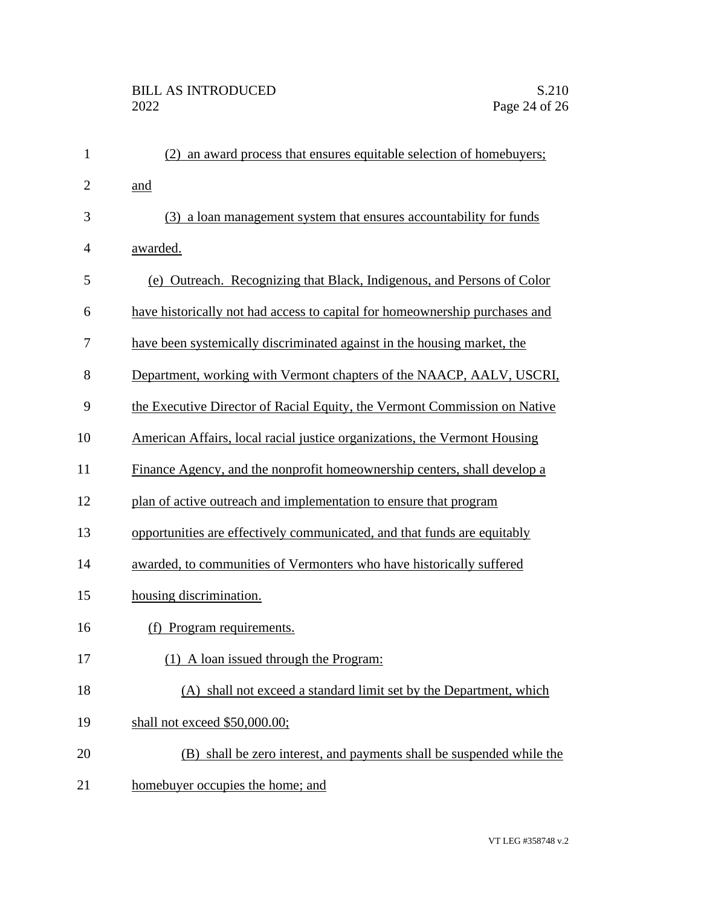| $\mathbf{1}$   | (2) an award process that ensures equitable selection of homebuyers;        |
|----------------|-----------------------------------------------------------------------------|
| $\overline{2}$ | and                                                                         |
| 3              | (3) a loan management system that ensures accountability for funds          |
| $\overline{4}$ | awarded.                                                                    |
| 5              | (e) Outreach. Recognizing that Black, Indigenous, and Persons of Color      |
| 6              | have historically not had access to capital for homeownership purchases and |
| 7              | have been systemically discriminated against in the housing market, the     |
| 8              | Department, working with Vermont chapters of the NAACP, AALV, USCRI,        |
| 9              | the Executive Director of Racial Equity, the Vermont Commission on Native   |
| 10             | American Affairs, local racial justice organizations, the Vermont Housing   |
| 11             | Finance Agency, and the nonprofit homeownership centers, shall develop a    |
| 12             | plan of active outreach and implementation to ensure that program           |
| 13             | opportunities are effectively communicated, and that funds are equitably    |
| 14             | awarded, to communities of Vermonters who have historically suffered        |
| 15             | housing discrimination.                                                     |
| 16             | (f) Program requirements.                                                   |
| 17             | (1) A loan issued through the Program:                                      |
| 18             | (A) shall not exceed a standard limit set by the Department, which          |
| 19             | shall not exceed \$50,000.00;                                               |
| 20             | (B) shall be zero interest, and payments shall be suspended while the       |
| 21             | homebuyer occupies the home; and                                            |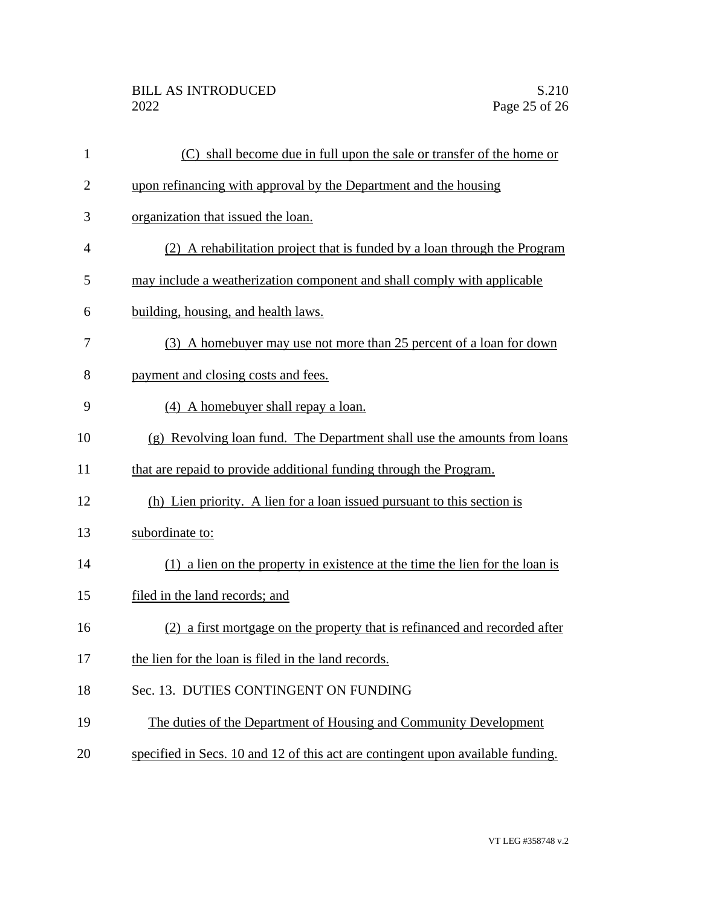| 1              | (C) shall become due in full upon the sale or transfer of the home or           |
|----------------|---------------------------------------------------------------------------------|
| $\overline{2}$ | upon refinancing with approval by the Department and the housing                |
| 3              | organization that issued the loan.                                              |
| 4              | (2) A rehabilitation project that is funded by a loan through the Program       |
| 5              | may include a weatherization component and shall comply with applicable         |
| 6              | building, housing, and health laws.                                             |
| 7              | (3) A homebuyer may use not more than 25 percent of a loan for down             |
| 8              | payment and closing costs and fees.                                             |
| 9              | (4) A homebuyer shall repay a loan.                                             |
| 10             | (g) Revolving loan fund. The Department shall use the amounts from loans        |
| 11             | that are repaid to provide additional funding through the Program.              |
| 12             | (h) Lien priority. A lien for a loan issued pursuant to this section is         |
| 13             | subordinate to:                                                                 |
| 14             | (1) a lien on the property in existence at the time the lien for the loan is    |
| 15             | filed in the land records; and                                                  |
| 16             | (2) a first mortgage on the property that is refinanced and recorded after      |
| 17             | the lien for the loan is filed in the land records.                             |
| 18             | Sec. 13. DUTIES CONTINGENT ON FUNDING                                           |
| 19             | The duties of the Department of Housing and Community Development               |
| 20             | specified in Secs. 10 and 12 of this act are contingent upon available funding. |